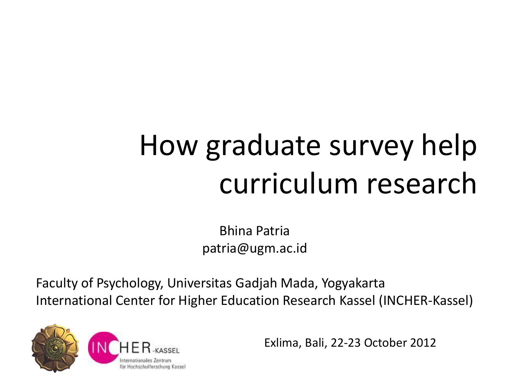## How graduate survey help curriculum research

Bhina Patria patria@ugm.ac.id

Faculty of Psychology, Universitas Gadjah Mada, Yogyakarta International Center for Higher Education Research Kassel (INCHER-Kassel)



Exlima, Bali, 22-23 October 2012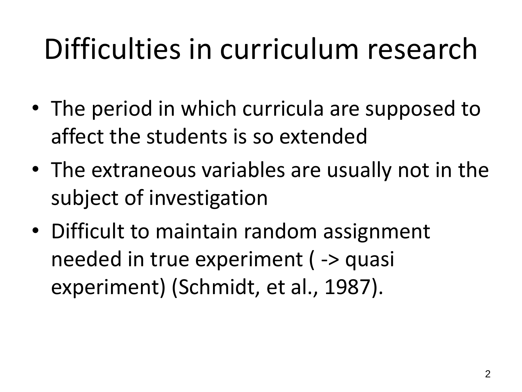## Difficulties in curriculum research

- The period in which curricula are supposed to affect the students is so extended
- The extraneous variables are usually not in the subject of investigation
- Difficult to maintain random assignment needed in true experiment ( -> quasi experiment) (Schmidt, et al., 1987).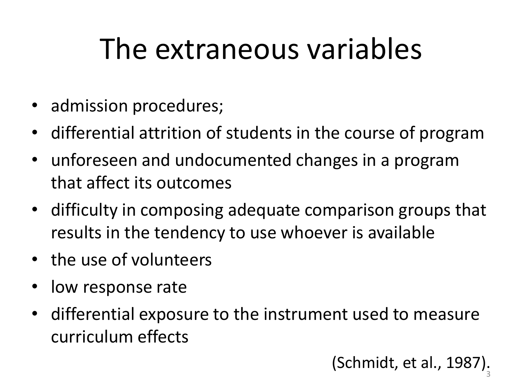## The extraneous variables

- admission procedures;
- differential attrition of students in the course of program
- unforeseen and undocumented changes in a program that affect its outcomes
- difficulty in composing adequate comparison groups that results in the tendency to use whoever is available
- the use of volunteers
- low response rate
- differential exposure to the instrument used to measure curriculum effects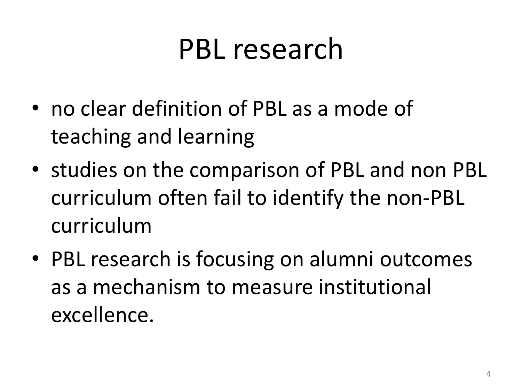#### PBL research

- no clear definition of PBL as a mode of teaching and learning
- studies on the comparison of PBL and non PBL curriculum often fail to identify the non-PBL curriculum
- PBL research is focusing on alumni outcomes as a mechanism to measure institutional excellence.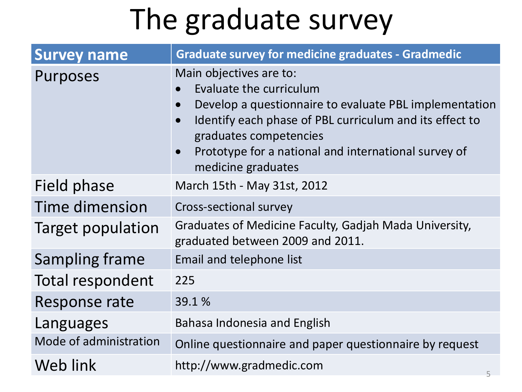#### The graduate survey

| <b>Survey name</b>     | <b>Graduate survey for medicine graduates - Gradmedic</b>                                                                                                                                                                                                                       |
|------------------------|---------------------------------------------------------------------------------------------------------------------------------------------------------------------------------------------------------------------------------------------------------------------------------|
| Purposes               | Main objectives are to:<br>Evaluate the curriculum<br>Develop a questionnaire to evaluate PBL implementation<br>Identify each phase of PBL curriculum and its effect to<br>graduates competencies<br>Prototype for a national and international survey of<br>medicine graduates |
| Field phase            | March 15th - May 31st, 2012                                                                                                                                                                                                                                                     |
| <b>Time dimension</b>  | Cross-sectional survey                                                                                                                                                                                                                                                          |
| Target population      | Graduates of Medicine Faculty, Gadjah Mada University,<br>graduated between 2009 and 2011.                                                                                                                                                                                      |
| <b>Sampling frame</b>  | Email and telephone list                                                                                                                                                                                                                                                        |
| Total respondent       | 225                                                                                                                                                                                                                                                                             |
| Response rate          | 39.1%                                                                                                                                                                                                                                                                           |
| Languages              | Bahasa Indonesia and English                                                                                                                                                                                                                                                    |
| Mode of administration | Online questionnaire and paper questionnaire by request                                                                                                                                                                                                                         |
| Web link               | http://www.gradmedic.com<br>5.                                                                                                                                                                                                                                                  |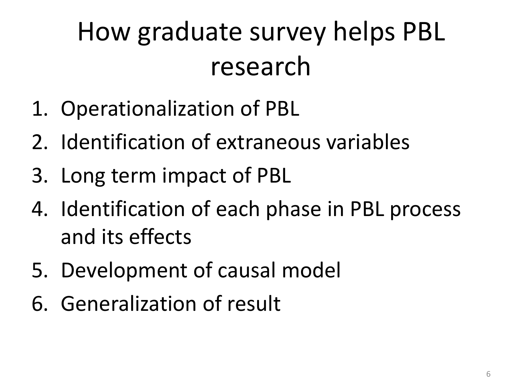#### How graduate survey helps PBL research

- 1. Operationalization of PBL
- 2. Identification of extraneous variables
- 3. Long term impact of PBL
- 4. Identification of each phase in PBL process and its effects
- 5. Development of causal model
- 6. Generalization of result